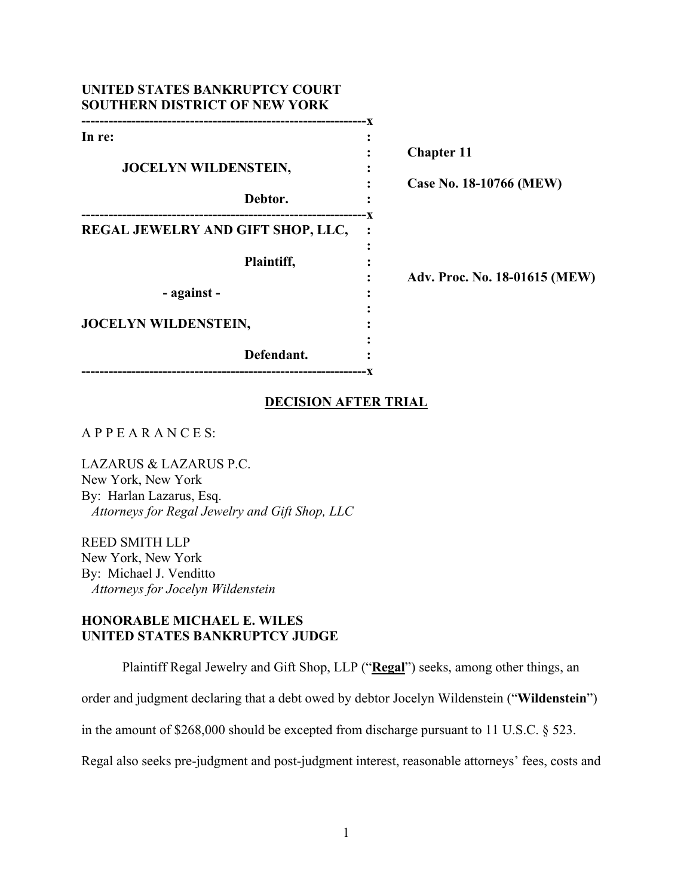| UNITED STATES BANKRUPTCY COURT<br><b>SOUTHERN DISTRICT OF NEW YORK</b> |                               |
|------------------------------------------------------------------------|-------------------------------|
| In re:                                                                 |                               |
|                                                                        | <b>Chapter 11</b>             |
| JOCELYN WILDENSTEIN,                                                   |                               |
| Debtor.                                                                | Case No. 18-10766 (MEW)       |
| REGAL JEWELRY AND GIFT SHOP, LLC,                                      |                               |
| Plaintiff,                                                             |                               |
|                                                                        | Adv. Proc. No. 18-01615 (MEW) |
| - against -                                                            |                               |
| <b>JOCELYN WILDENSTEIN,</b>                                            |                               |
| Defendant.                                                             |                               |

### **DECISION AFTER TRIAL**

# A P P E A R A N C E S:

LAZARUS & LAZARUS P.C. New York, New York By: Harlan Lazarus, Esq. *Attorneys for Regal Jewelry and Gift Shop, LLC* 

REED SMITH LLP New York, New York By: Michael J. Venditto *Attorneys for Jocelyn Wildenstein* 

# **HONORABLE MICHAEL E. WILES UNITED STATES BANKRUPTCY JUDGE**

Plaintiff Regal Jewelry and Gift Shop, LLP ("**Regal**") seeks, among other things, an

order and judgment declaring that a debt owed by debtor Jocelyn Wildenstein ("**Wildenstein**")

in the amount of \$268,000 should be excepted from discharge pursuant to 11 U.S.C. § 523.

Regal also seeks pre-judgment and post-judgment interest, reasonable attorneys' fees, costs and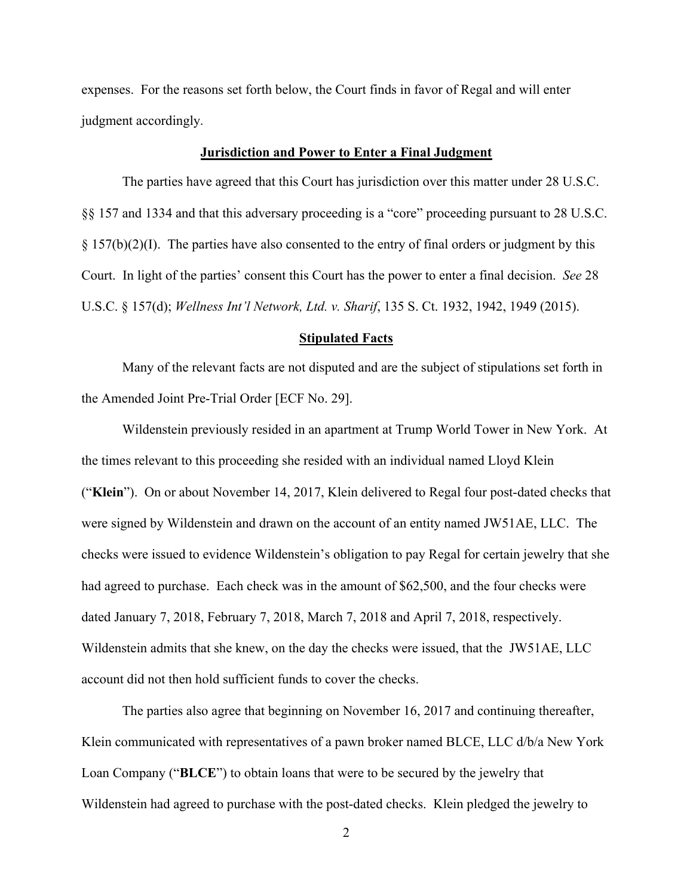expenses. For the reasons set forth below, the Court finds in favor of Regal and will enter judgment accordingly.

#### **Jurisdiction and Power to Enter a Final Judgment**

The parties have agreed that this Court has jurisdiction over this matter under 28 U.S.C. §§ 157 and 1334 and that this adversary proceeding is a "core" proceeding pursuant to 28 U.S.C.  $\S 157(b)(2)(I)$ . The parties have also consented to the entry of final orders or judgment by this Court. In light of the parties' consent this Court has the power to enter a final decision. *See* 28 U.S.C. § 157(d); *Wellness Int'l Network, Ltd. v. Sharif*, 135 S. Ct. 1932, 1942, 1949 (2015).

#### **Stipulated Facts**

Many of the relevant facts are not disputed and are the subject of stipulations set forth in the Amended Joint Pre-Trial Order [ECF No. 29].

Wildenstein previously resided in an apartment at Trump World Tower in New York. At the times relevant to this proceeding she resided with an individual named Lloyd Klein ("**Klein**"). On or about November 14, 2017, Klein delivered to Regal four post-dated checks that were signed by Wildenstein and drawn on the account of an entity named JW51AE, LLC. The checks were issued to evidence Wildenstein's obligation to pay Regal for certain jewelry that she had agreed to purchase. Each check was in the amount of \$62,500, and the four checks were dated January 7, 2018, February 7, 2018, March 7, 2018 and April 7, 2018, respectively. Wildenstein admits that she knew, on the day the checks were issued, that the JW51AE, LLC account did not then hold sufficient funds to cover the checks.

The parties also agree that beginning on November 16, 2017 and continuing thereafter, Klein communicated with representatives of a pawn broker named BLCE, LLC d/b/a New York Loan Company ("**BLCE**") to obtain loans that were to be secured by the jewelry that Wildenstein had agreed to purchase with the post-dated checks. Klein pledged the jewelry to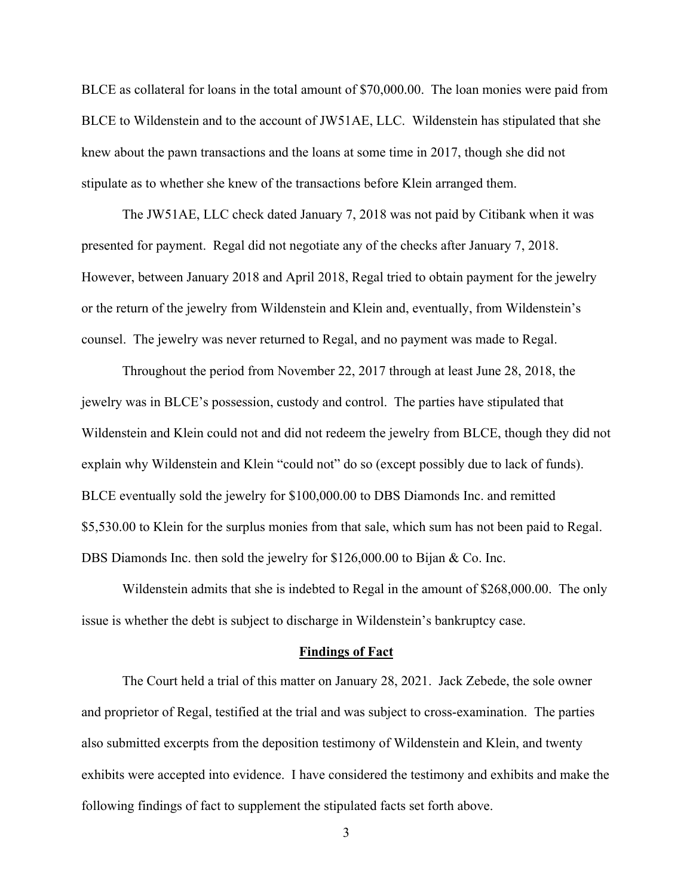BLCE as collateral for loans in the total amount of \$70,000.00. The loan monies were paid from BLCE to Wildenstein and to the account of JW51AE, LLC. Wildenstein has stipulated that she knew about the pawn transactions and the loans at some time in 2017, though she did not stipulate as to whether she knew of the transactions before Klein arranged them.

The JW51AE, LLC check dated January 7, 2018 was not paid by Citibank when it was presented for payment. Regal did not negotiate any of the checks after January 7, 2018. However, between January 2018 and April 2018, Regal tried to obtain payment for the jewelry or the return of the jewelry from Wildenstein and Klein and, eventually, from Wildenstein's counsel. The jewelry was never returned to Regal, and no payment was made to Regal.

Throughout the period from November 22, 2017 through at least June 28, 2018, the jewelry was in BLCE's possession, custody and control. The parties have stipulated that Wildenstein and Klein could not and did not redeem the jewelry from BLCE, though they did not explain why Wildenstein and Klein "could not" do so (except possibly due to lack of funds). BLCE eventually sold the jewelry for \$100,000.00 to DBS Diamonds Inc. and remitted \$5,530.00 to Klein for the surplus monies from that sale, which sum has not been paid to Regal. DBS Diamonds Inc. then sold the jewelry for \$126,000.00 to Bijan & Co. Inc.

Wildenstein admits that she is indebted to Regal in the amount of \$268,000.00. The only issue is whether the debt is subject to discharge in Wildenstein's bankruptcy case.

#### **Findings of Fact**

The Court held a trial of this matter on January 28, 2021. Jack Zebede, the sole owner and proprietor of Regal, testified at the trial and was subject to cross-examination. The parties also submitted excerpts from the deposition testimony of Wildenstein and Klein, and twenty exhibits were accepted into evidence. I have considered the testimony and exhibits and make the following findings of fact to supplement the stipulated facts set forth above.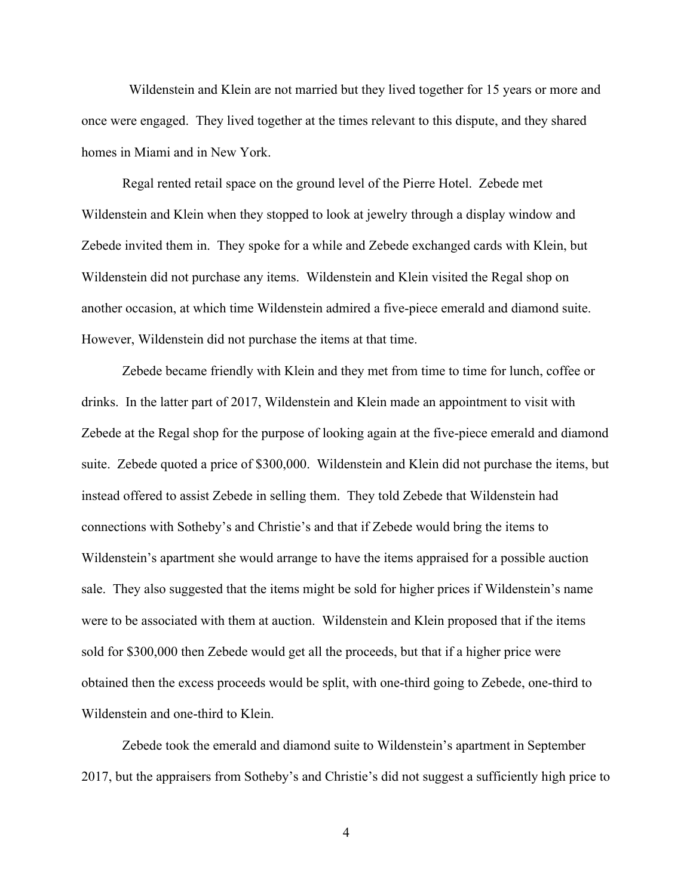Wildenstein and Klein are not married but they lived together for 15 years or more and once were engaged. They lived together at the times relevant to this dispute, and they shared homes in Miami and in New York.

Regal rented retail space on the ground level of the Pierre Hotel. Zebede met Wildenstein and Klein when they stopped to look at jewelry through a display window and Zebede invited them in. They spoke for a while and Zebede exchanged cards with Klein, but Wildenstein did not purchase any items. Wildenstein and Klein visited the Regal shop on another occasion, at which time Wildenstein admired a five-piece emerald and diamond suite. However, Wildenstein did not purchase the items at that time.

Zebede became friendly with Klein and they met from time to time for lunch, coffee or drinks. In the latter part of 2017, Wildenstein and Klein made an appointment to visit with Zebede at the Regal shop for the purpose of looking again at the five-piece emerald and diamond suite. Zebede quoted a price of \$300,000. Wildenstein and Klein did not purchase the items, but instead offered to assist Zebede in selling them. They told Zebede that Wildenstein had connections with Sotheby's and Christie's and that if Zebede would bring the items to Wildenstein's apartment she would arrange to have the items appraised for a possible auction sale. They also suggested that the items might be sold for higher prices if Wildenstein's name were to be associated with them at auction. Wildenstein and Klein proposed that if the items sold for \$300,000 then Zebede would get all the proceeds, but that if a higher price were obtained then the excess proceeds would be split, with one-third going to Zebede, one-third to Wildenstein and one-third to Klein.

Zebede took the emerald and diamond suite to Wildenstein's apartment in September 2017, but the appraisers from Sotheby's and Christie's did not suggest a sufficiently high price to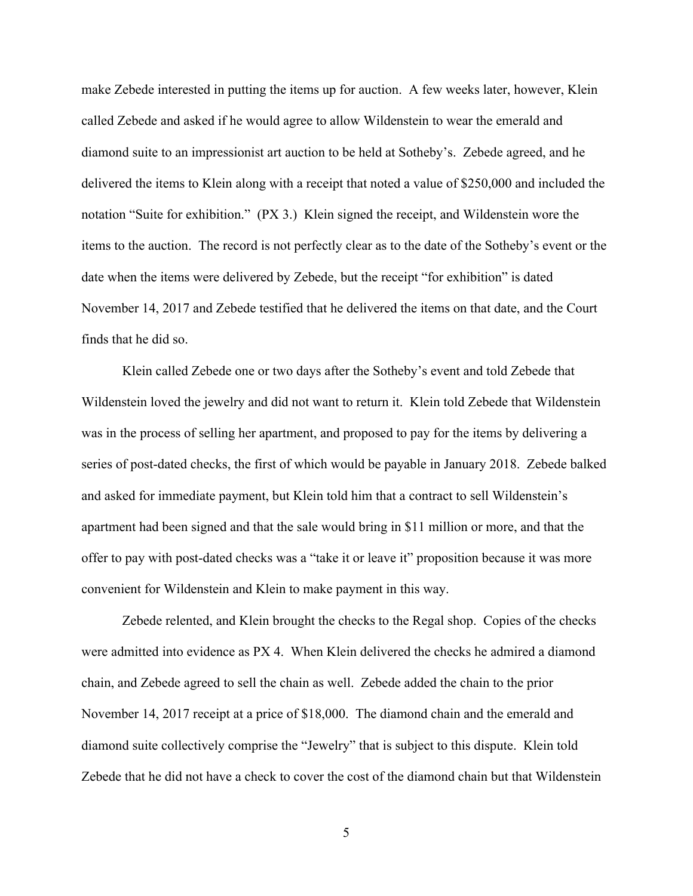make Zebede interested in putting the items up for auction. A few weeks later, however, Klein called Zebede and asked if he would agree to allow Wildenstein to wear the emerald and diamond suite to an impressionist art auction to be held at Sotheby's. Zebede agreed, and he delivered the items to Klein along with a receipt that noted a value of \$250,000 and included the notation "Suite for exhibition." (PX 3.) Klein signed the receipt, and Wildenstein wore the items to the auction. The record is not perfectly clear as to the date of the Sotheby's event or the date when the items were delivered by Zebede, but the receipt "for exhibition" is dated November 14, 2017 and Zebede testified that he delivered the items on that date, and the Court finds that he did so.

Klein called Zebede one or two days after the Sotheby's event and told Zebede that Wildenstein loved the jewelry and did not want to return it. Klein told Zebede that Wildenstein was in the process of selling her apartment, and proposed to pay for the items by delivering a series of post-dated checks, the first of which would be payable in January 2018. Zebede balked and asked for immediate payment, but Klein told him that a contract to sell Wildenstein's apartment had been signed and that the sale would bring in \$11 million or more, and that the offer to pay with post-dated checks was a "take it or leave it" proposition because it was more convenient for Wildenstein and Klein to make payment in this way.

Zebede relented, and Klein brought the checks to the Regal shop. Copies of the checks were admitted into evidence as PX 4. When Klein delivered the checks he admired a diamond chain, and Zebede agreed to sell the chain as well. Zebede added the chain to the prior November 14, 2017 receipt at a price of \$18,000. The diamond chain and the emerald and diamond suite collectively comprise the "Jewelry" that is subject to this dispute. Klein told Zebede that he did not have a check to cover the cost of the diamond chain but that Wildenstein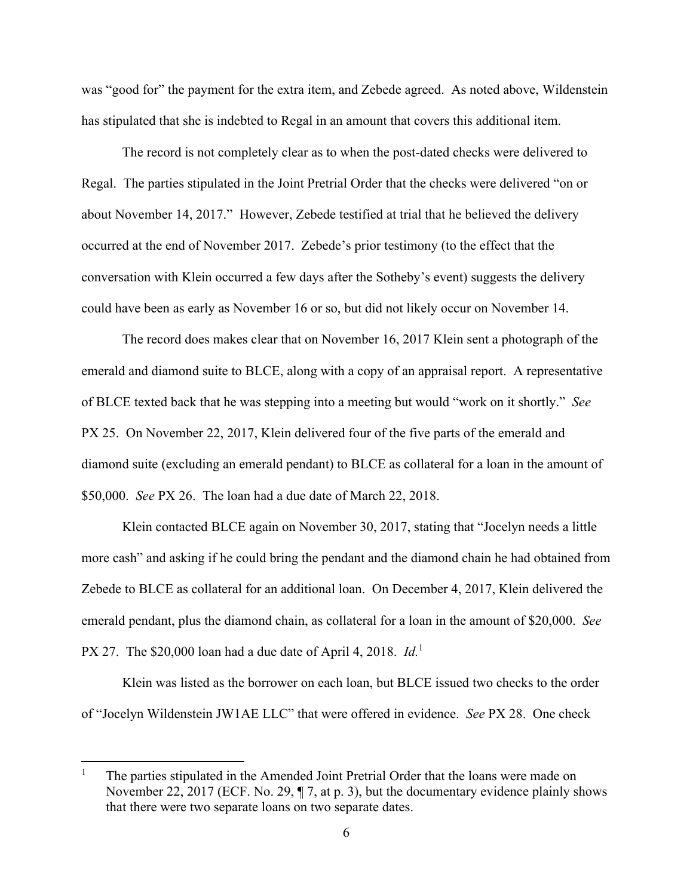was "good for" the payment for the extra item, and Zebede agreed. As noted above, Wildenstein has stipulated that she is indebted to Regal in an amount that covers this additional item.

The record is not completely clear as to when the post-dated checks were delivered to Regal. The parties stipulated in the Joint Pretrial Order that the checks were delivered "on or about November 14, 2017." However, Zebede testified at trial that he believed the delivery occurred at the end of November 2017. Zebede's prior testimony (to the effect that the conversation with Klein occurred a few days after the Sotheby's event) suggests the delivery could have been as early as November 16 or so, but did not likely occur on November 14.

The record does makes clear that on November 16, 2017 Klein sent a photograph of the emerald and diamond suite to BLCE, along with a copy of an appraisal report. A representative of BLCE texted back that he was stepping into a meeting but would "work on it shortly." *See*  PX 25. On November 22, 2017, Klein delivered four of the five parts of the emerald and diamond suite (excluding an emerald pendant) to BLCE as collateral for a loan in the amount of \$50,000. *See* PX 26. The loan had a due date of March 22, 2018.

Klein contacted BLCE again on November 30, 2017, stating that "Jocelyn needs a little more cash" and asking if he could bring the pendant and the diamond chain he had obtained from Zebede to BLCE as collateral for an additional loan. On December 4, 2017, Klein delivered the emerald pendant, plus the diamond chain, as collateral for a loan in the amount of \$20,000. *See*  PX 27. The \$20,000 loan had a due date of April 4, 2018. *Id.*<sup>1</sup> 

Klein was listed as the borrower on each loan, but BLCE issued two checks to the order of "Jocelyn Wildenstein JW1AE LLC" that were offered in evidence. *See* PX 28. One check

<sup>1</sup> The parties stipulated in the Amended Joint Pretrial Order that the loans were made on November 22, 2017 (ECF. No. 29, ¶ 7, at p. 3), but the documentary evidence plainly shows that there were two separate loans on two separate dates.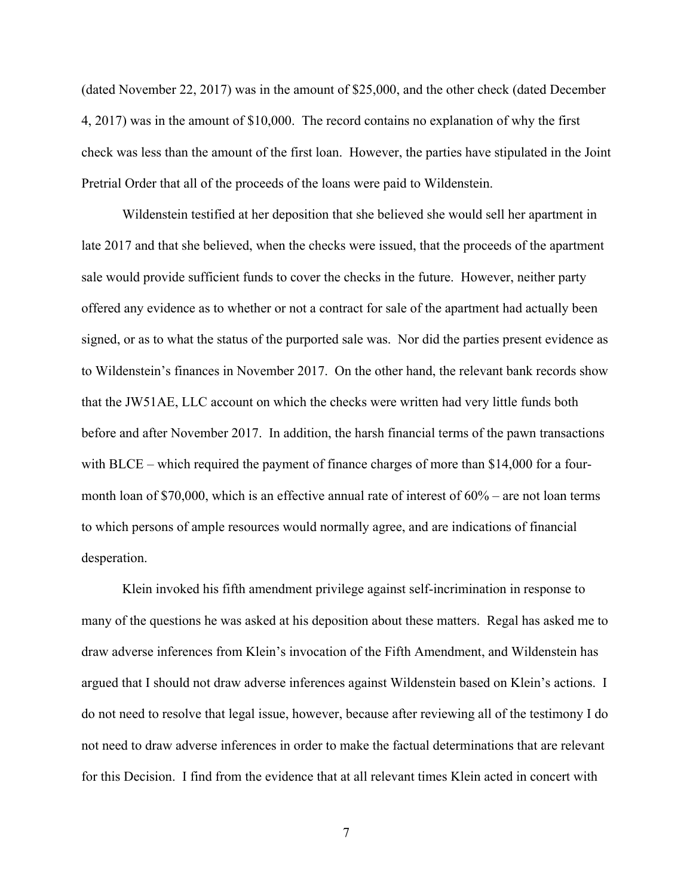(dated November 22, 2017) was in the amount of \$25,000, and the other check (dated December 4, 2017) was in the amount of \$10,000. The record contains no explanation of why the first check was less than the amount of the first loan. However, the parties have stipulated in the Joint Pretrial Order that all of the proceeds of the loans were paid to Wildenstein.

Wildenstein testified at her deposition that she believed she would sell her apartment in late 2017 and that she believed, when the checks were issued, that the proceeds of the apartment sale would provide sufficient funds to cover the checks in the future. However, neither party offered any evidence as to whether or not a contract for sale of the apartment had actually been signed, or as to what the status of the purported sale was. Nor did the parties present evidence as to Wildenstein's finances in November 2017. On the other hand, the relevant bank records show that the JW51AE, LLC account on which the checks were written had very little funds both before and after November 2017. In addition, the harsh financial terms of the pawn transactions with BLCE – which required the payment of finance charges of more than \$14,000 for a fourmonth loan of \$70,000, which is an effective annual rate of interest of 60% – are not loan terms to which persons of ample resources would normally agree, and are indications of financial desperation.

Klein invoked his fifth amendment privilege against self-incrimination in response to many of the questions he was asked at his deposition about these matters. Regal has asked me to draw adverse inferences from Klein's invocation of the Fifth Amendment, and Wildenstein has argued that I should not draw adverse inferences against Wildenstein based on Klein's actions. I do not need to resolve that legal issue, however, because after reviewing all of the testimony I do not need to draw adverse inferences in order to make the factual determinations that are relevant for this Decision. I find from the evidence that at all relevant times Klein acted in concert with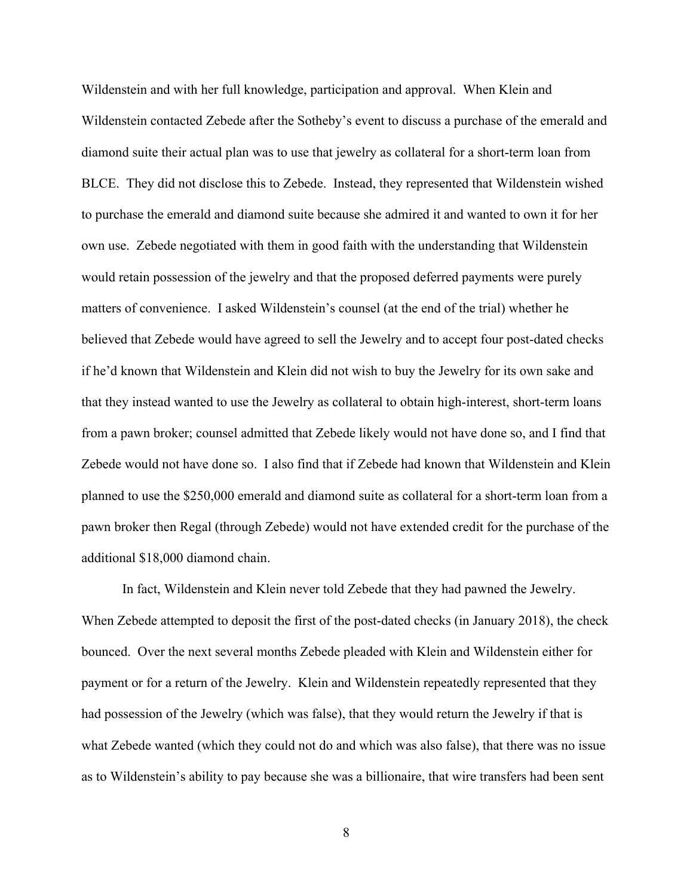Wildenstein and with her full knowledge, participation and approval. When Klein and Wildenstein contacted Zebede after the Sotheby's event to discuss a purchase of the emerald and diamond suite their actual plan was to use that jewelry as collateral for a short-term loan from BLCE. They did not disclose this to Zebede. Instead, they represented that Wildenstein wished to purchase the emerald and diamond suite because she admired it and wanted to own it for her own use. Zebede negotiated with them in good faith with the understanding that Wildenstein would retain possession of the jewelry and that the proposed deferred payments were purely matters of convenience. I asked Wildenstein's counsel (at the end of the trial) whether he believed that Zebede would have agreed to sell the Jewelry and to accept four post-dated checks if he'd known that Wildenstein and Klein did not wish to buy the Jewelry for its own sake and that they instead wanted to use the Jewelry as collateral to obtain high-interest, short-term loans from a pawn broker; counsel admitted that Zebede likely would not have done so, and I find that Zebede would not have done so. I also find that if Zebede had known that Wildenstein and Klein planned to use the \$250,000 emerald and diamond suite as collateral for a short-term loan from a pawn broker then Regal (through Zebede) would not have extended credit for the purchase of the additional \$18,000 diamond chain.

In fact, Wildenstein and Klein never told Zebede that they had pawned the Jewelry. When Zebede attempted to deposit the first of the post-dated checks (in January 2018), the check bounced. Over the next several months Zebede pleaded with Klein and Wildenstein either for payment or for a return of the Jewelry. Klein and Wildenstein repeatedly represented that they had possession of the Jewelry (which was false), that they would return the Jewelry if that is what Zebede wanted (which they could not do and which was also false), that there was no issue as to Wildenstein's ability to pay because she was a billionaire, that wire transfers had been sent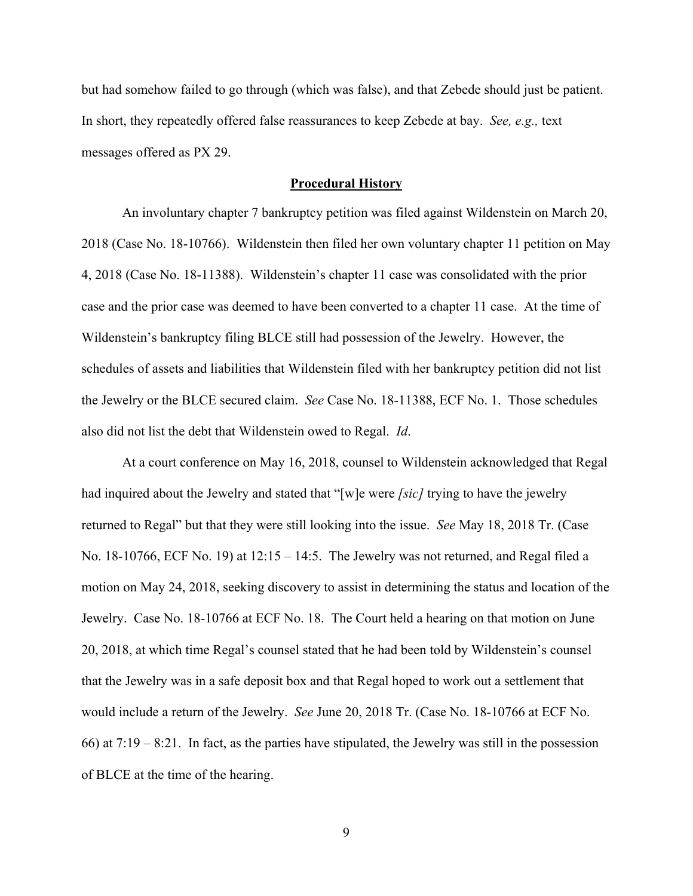but had somehow failed to go through (which was false), and that Zebede should just be patient. In short, they repeatedly offered false reassurances to keep Zebede at bay. *See, e.g.,* text messages offered as PX 29.

### **Procedural History**

An involuntary chapter 7 bankruptcy petition was filed against Wildenstein on March 20, 2018 (Case No. 18-10766). Wildenstein then filed her own voluntary chapter 11 petition on May 4, 2018 (Case No. 18-11388). Wildenstein's chapter 11 case was consolidated with the prior case and the prior case was deemed to have been converted to a chapter 11 case. At the time of Wildenstein's bankruptcy filing BLCE still had possession of the Jewelry. However, the schedules of assets and liabilities that Wildenstein filed with her bankruptcy petition did not list the Jewelry or the BLCE secured claim. *See* Case No. 18-11388, ECF No. 1. Those schedules also did not list the debt that Wildenstein owed to Regal. *Id*.

At a court conference on May 16, 2018, counsel to Wildenstein acknowledged that Regal had inquired about the Jewelry and stated that "[w]e were *[sic]* trying to have the jewelry returned to Regal" but that they were still looking into the issue. *See* May 18, 2018 Tr. (Case No. 18-10766, ECF No. 19) at 12:15 – 14:5. The Jewelry was not returned, and Regal filed a motion on May 24, 2018, seeking discovery to assist in determining the status and location of the Jewelry. Case No. 18-10766 at ECF No. 18. The Court held a hearing on that motion on June 20, 2018, at which time Regal's counsel stated that he had been told by Wildenstein's counsel that the Jewelry was in a safe deposit box and that Regal hoped to work out a settlement that would include a return of the Jewelry. *See* June 20, 2018 Tr. (Case No. 18-10766 at ECF No. 66) at 7:19 – 8:21. In fact, as the parties have stipulated, the Jewelry was still in the possession of BLCE at the time of the hearing.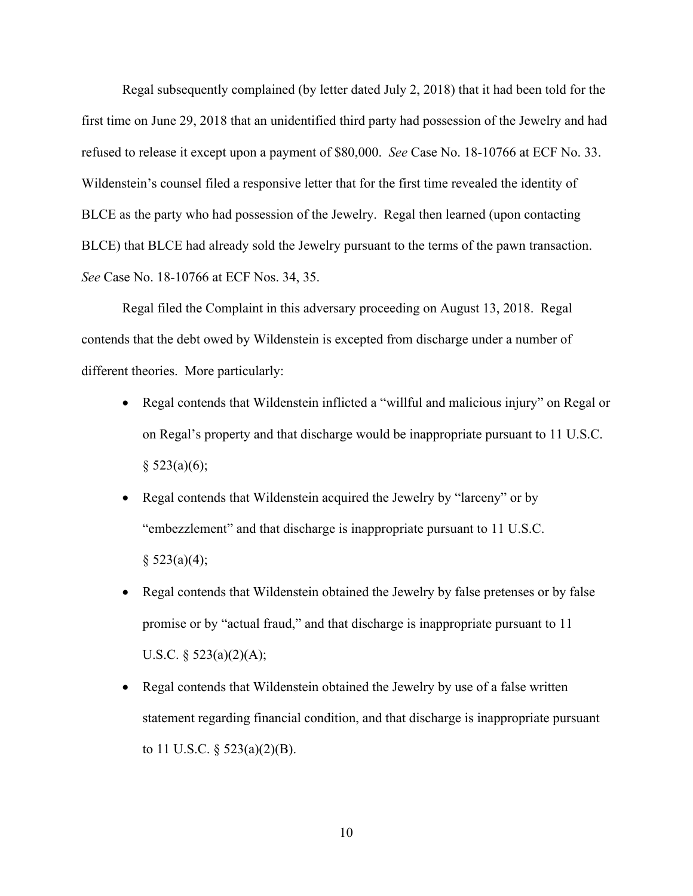Regal subsequently complained (by letter dated July 2, 2018) that it had been told for the first time on June 29, 2018 that an unidentified third party had possession of the Jewelry and had refused to release it except upon a payment of \$80,000. *See* Case No. 18-10766 at ECF No. 33. Wildenstein's counsel filed a responsive letter that for the first time revealed the identity of BLCE as the party who had possession of the Jewelry. Regal then learned (upon contacting BLCE) that BLCE had already sold the Jewelry pursuant to the terms of the pawn transaction. *See* Case No. 18-10766 at ECF Nos. 34, 35.

Regal filed the Complaint in this adversary proceeding on August 13, 2018. Regal contends that the debt owed by Wildenstein is excepted from discharge under a number of different theories. More particularly:

- Regal contends that Wildenstein inflicted a "willful and malicious injury" on Regal or on Regal's property and that discharge would be inappropriate pursuant to 11 U.S.C.  $§$  523(a)(6);
- Regal contends that Wildenstein acquired the Jewelry by "larceny" or by "embezzlement" and that discharge is inappropriate pursuant to 11 U.S.C.  $§$  523(a)(4);
- Regal contends that Wildenstein obtained the Jewelry by false pretenses or by false promise or by "actual fraud," and that discharge is inappropriate pursuant to 11 U.S.C.  $\S$  523(a)(2)(A);
- Regal contends that Wildenstein obtained the Jewelry by use of a false written statement regarding financial condition, and that discharge is inappropriate pursuant to 11 U.S.C.  $\S$  523(a)(2)(B).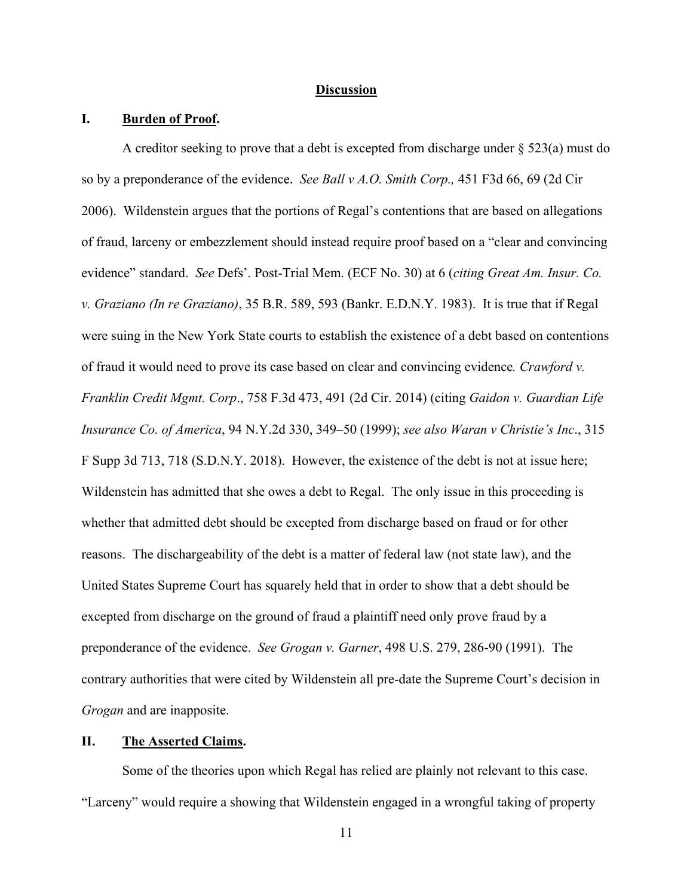### **Discussion**

# **I. Burden of Proof.**

A creditor seeking to prove that a debt is excepted from discharge under § 523(a) must do so by a preponderance of the evidence. *See Ball v A.O. Smith Corp.,* 451 F3d 66, 69 (2d Cir 2006). Wildenstein argues that the portions of Regal's contentions that are based on allegations of fraud, larceny or embezzlement should instead require proof based on a "clear and convincing evidence" standard. *See* Defs'. Post-Trial Mem. (ECF No. 30) at 6 (*citing Great Am. Insur. Co. v. Graziano (In re Graziano)*, 35 B.R. 589, 593 (Bankr. E.D.N.Y. 1983). It is true that if Regal were suing in the New York State courts to establish the existence of a debt based on contentions of fraud it would need to prove its case based on clear and convincing evidence*. Crawford v. Franklin Credit Mgmt. Corp*., 758 F.3d 473, 491 (2d Cir. 2014) (citing *Gaidon v. Guardian Life Insurance Co. of America*, 94 N.Y.2d 330, 349–50 (1999); *see also Waran v Christie's Inc*., 315 F Supp 3d 713, 718 (S.D.N.Y. 2018). However, the existence of the debt is not at issue here; Wildenstein has admitted that she owes a debt to Regal. The only issue in this proceeding is whether that admitted debt should be excepted from discharge based on fraud or for other reasons. The dischargeability of the debt is a matter of federal law (not state law), and the United States Supreme Court has squarely held that in order to show that a debt should be excepted from discharge on the ground of fraud a plaintiff need only prove fraud by a preponderance of the evidence. *See Grogan v. Garner*, 498 U.S. 279, 286-90 (1991). The contrary authorities that were cited by Wildenstein all pre-date the Supreme Court's decision in *Grogan* and are inapposite.

### **II. The Asserted Claims.**

Some of the theories upon which Regal has relied are plainly not relevant to this case. "Larceny" would require a showing that Wildenstein engaged in a wrongful taking of property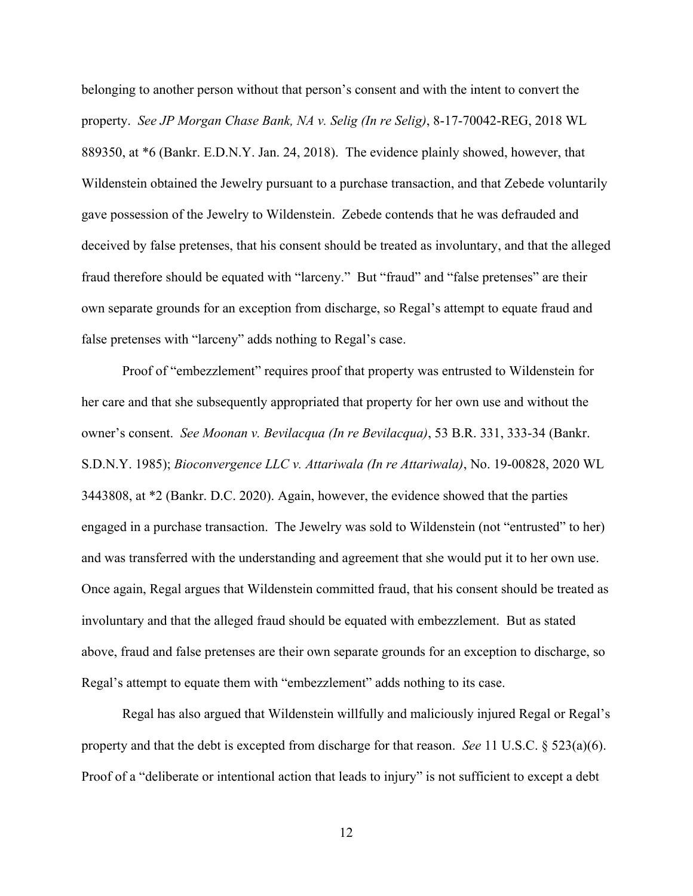belonging to another person without that person's consent and with the intent to convert the property. *See JP Morgan Chase Bank, NA v. Selig (In re Selig)*, 8-17-70042-REG, 2018 WL 889350, at \*6 (Bankr. E.D.N.Y. Jan. 24, 2018). The evidence plainly showed, however, that Wildenstein obtained the Jewelry pursuant to a purchase transaction, and that Zebede voluntarily gave possession of the Jewelry to Wildenstein. Zebede contends that he was defrauded and deceived by false pretenses, that his consent should be treated as involuntary, and that the alleged fraud therefore should be equated with "larceny." But "fraud" and "false pretenses" are their own separate grounds for an exception from discharge, so Regal's attempt to equate fraud and false pretenses with "larceny" adds nothing to Regal's case.

Proof of "embezzlement" requires proof that property was entrusted to Wildenstein for her care and that she subsequently appropriated that property for her own use and without the owner's consent. *See Moonan v. Bevilacqua (In re Bevilacqua)*, 53 B.R. 331, 333-34 (Bankr. S.D.N.Y. 1985); *Bioconvergence LLC v. Attariwala (In re Attariwala)*, No. 19-00828, 2020 WL 3443808, at \*2 (Bankr. D.C. 2020). Again, however, the evidence showed that the parties engaged in a purchase transaction. The Jewelry was sold to Wildenstein (not "entrusted" to her) and was transferred with the understanding and agreement that she would put it to her own use. Once again, Regal argues that Wildenstein committed fraud, that his consent should be treated as involuntary and that the alleged fraud should be equated with embezzlement. But as stated above, fraud and false pretenses are their own separate grounds for an exception to discharge, so Regal's attempt to equate them with "embezzlement" adds nothing to its case.

Regal has also argued that Wildenstein willfully and maliciously injured Regal or Regal's property and that the debt is excepted from discharge for that reason. *See* 11 U.S.C. § 523(a)(6). Proof of a "deliberate or intentional action that leads to injury" is not sufficient to except a debt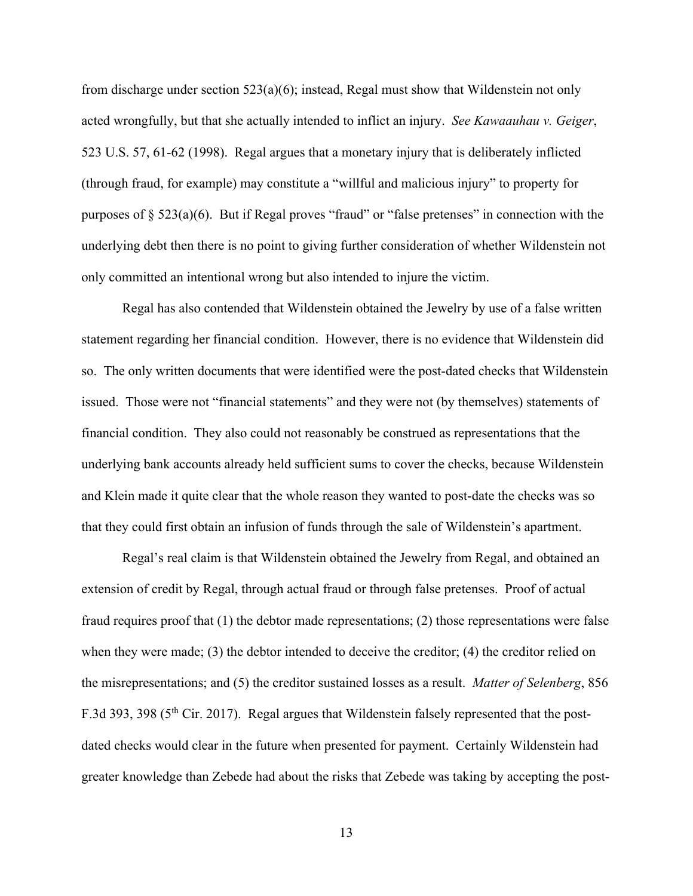from discharge under section  $523(a)(6)$ ; instead, Regal must show that Wildenstein not only acted wrongfully, but that she actually intended to inflict an injury. *See Kawaauhau v. Geiger*, 523 U.S. 57, 61-62 (1998).Regal argues that a monetary injury that is deliberately inflicted (through fraud, for example) may constitute a "willful and malicious injury" to property for purposes of  $\S 523(a)(6)$ . But if Regal proves "fraud" or "false pretenses" in connection with the underlying debt then there is no point to giving further consideration of whether Wildenstein not only committed an intentional wrong but also intended to injure the victim.

Regal has also contended that Wildenstein obtained the Jewelry by use of a false written statement regarding her financial condition. However, there is no evidence that Wildenstein did so. The only written documents that were identified were the post-dated checks that Wildenstein issued. Those were not "financial statements" and they were not (by themselves) statements of financial condition. They also could not reasonably be construed as representations that the underlying bank accounts already held sufficient sums to cover the checks, because Wildenstein and Klein made it quite clear that the whole reason they wanted to post-date the checks was so that they could first obtain an infusion of funds through the sale of Wildenstein's apartment.

Regal's real claim is that Wildenstein obtained the Jewelry from Regal, and obtained an extension of credit by Regal, through actual fraud or through false pretenses. Proof of actual fraud requires proof that  $(1)$  the debtor made representations;  $(2)$  those representations were false when they were made; (3) the debtor intended to deceive the creditor; (4) the creditor relied on the misrepresentations; and (5) the creditor sustained losses as a result. *Matter of Selenberg*, 856 F.3d 393, 398 (5<sup>th</sup> Cir. 2017). Regal argues that Wildenstein falsely represented that the postdated checks would clear in the future when presented for payment. Certainly Wildenstein had greater knowledge than Zebede had about the risks that Zebede was taking by accepting the post-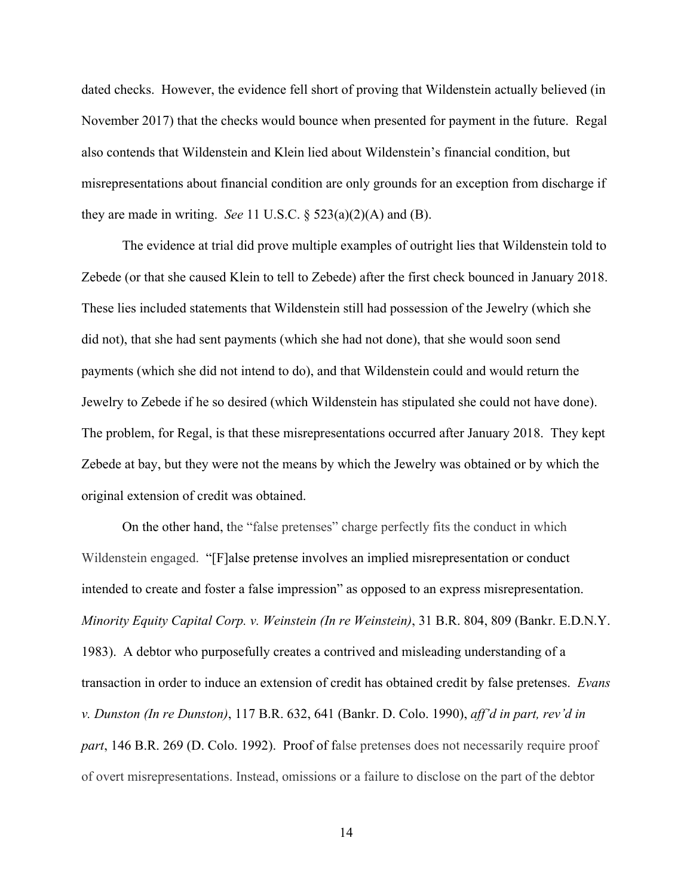dated checks. However, the evidence fell short of proving that Wildenstein actually believed (in November 2017) that the checks would bounce when presented for payment in the future. Regal also contends that Wildenstein and Klein lied about Wildenstein's financial condition, but misrepresentations about financial condition are only grounds for an exception from discharge if they are made in writing. *See* 11 U.S.C.  $\S$  523(a)(2)(A) and (B).

The evidence at trial did prove multiple examples of outright lies that Wildenstein told to Zebede (or that she caused Klein to tell to Zebede) after the first check bounced in January 2018. These lies included statements that Wildenstein still had possession of the Jewelry (which she did not), that she had sent payments (which she had not done), that she would soon send payments (which she did not intend to do), and that Wildenstein could and would return the Jewelry to Zebede if he so desired (which Wildenstein has stipulated she could not have done). The problem, for Regal, is that these misrepresentations occurred after January 2018. They kept Zebede at bay, but they were not the means by which the Jewelry was obtained or by which the original extension of credit was obtained.

On the other hand, the "false pretenses" charge perfectly fits the conduct in which Wildenstein engaged. "[F]alse pretense involves an implied misrepresentation or conduct intended to create and foster a false impression" as opposed to an express misrepresentation. *Minority Equity Capital Corp. v. Weinstein (In re Weinstein)*, 31 B.R. 804, 809 (Bankr. E.D.N.Y. 1983). A debtor who purposefully creates a contrived and misleading understanding of a transaction in order to induce an extension of credit has obtained credit by false pretenses. *Evans v. Dunston (In re Dunston)*, 117 B.R. 632, 641 (Bankr. D. Colo. 1990), *aff'd in part, rev'd in part*, 146 B.R. 269 (D. Colo. 1992). Proof of false pretenses does not necessarily require proof of overt misrepresentations. Instead, omissions or a failure to disclose on the part of the debtor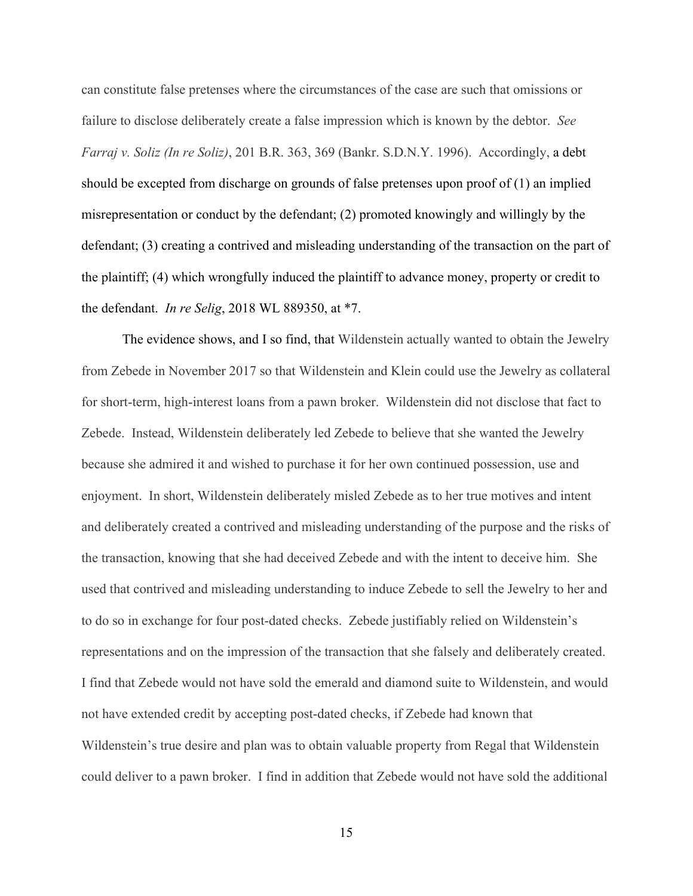can constitute false pretenses where the circumstances of the case are such that omissions or failure to disclose deliberately create a false impression which is known by the debtor. *See Farraj v. Soliz (In re Soliz)*, 201 B.R. 363, 369 (Bankr. S.D.N.Y. 1996). Accordingly, a debt should be excepted from discharge on grounds of false pretenses upon proof of (1) an implied misrepresentation or conduct by the defendant; (2) promoted knowingly and willingly by the defendant; (3) creating a contrived and misleading understanding of the transaction on the part of the plaintiff; (4) which wrongfully induced the plaintiff to advance money, property or credit to the defendant. *In re Selig*, 2018 WL 889350, at \*7.

The evidence shows, and I so find, that Wildenstein actually wanted to obtain the Jewelry from Zebede in November 2017 so that Wildenstein and Klein could use the Jewelry as collateral for short-term, high-interest loans from a pawn broker. Wildenstein did not disclose that fact to Zebede. Instead, Wildenstein deliberately led Zebede to believe that she wanted the Jewelry because she admired it and wished to purchase it for her own continued possession, use and enjoyment. In short, Wildenstein deliberately misled Zebede as to her true motives and intent and deliberately created a contrived and misleading understanding of the purpose and the risks of the transaction, knowing that she had deceived Zebede and with the intent to deceive him. She used that contrived and misleading understanding to induce Zebede to sell the Jewelry to her and to do so in exchange for four post-dated checks. Zebede justifiably relied on Wildenstein's representations and on the impression of the transaction that she falsely and deliberately created. I find that Zebede would not have sold the emerald and diamond suite to Wildenstein, and would not have extended credit by accepting post-dated checks, if Zebede had known that Wildenstein's true desire and plan was to obtain valuable property from Regal that Wildenstein could deliver to a pawn broker. I find in addition that Zebede would not have sold the additional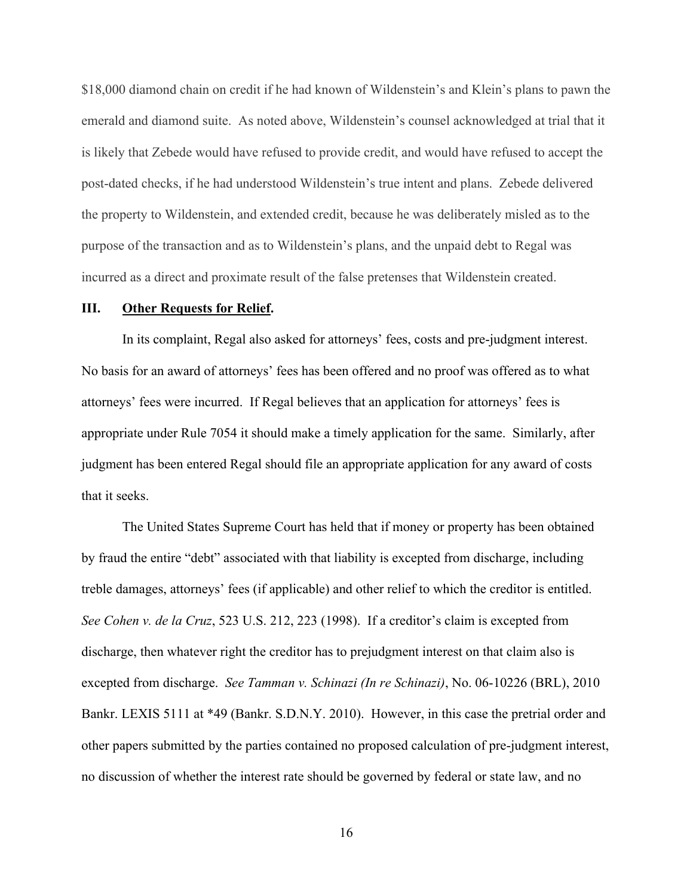\$18,000 diamond chain on credit if he had known of Wildenstein's and Klein's plans to pawn the emerald and diamond suite. As noted above, Wildenstein's counsel acknowledged at trial that it is likely that Zebede would have refused to provide credit, and would have refused to accept the post-dated checks, if he had understood Wildenstein's true intent and plans. Zebede delivered the property to Wildenstein, and extended credit, because he was deliberately misled as to the purpose of the transaction and as to Wildenstein's plans, and the unpaid debt to Regal was incurred as a direct and proximate result of the false pretenses that Wildenstein created.

#### **III. Other Requests for Relief.**

In its complaint, Regal also asked for attorneys' fees, costs and pre-judgment interest. No basis for an award of attorneys' fees has been offered and no proof was offered as to what attorneys' fees were incurred. If Regal believes that an application for attorneys' fees is appropriate under Rule 7054 it should make a timely application for the same. Similarly, after judgment has been entered Regal should file an appropriate application for any award of costs that it seeks.

The United States Supreme Court has held that if money or property has been obtained by fraud the entire "debt" associated with that liability is excepted from discharge, including treble damages, attorneys' fees (if applicable) and other relief to which the creditor is entitled. *See Cohen v. de la Cruz*, 523 U.S. 212, 223 (1998). If a creditor's claim is excepted from discharge, then whatever right the creditor has to prejudgment interest on that claim also is excepted from discharge. *See Tamman v. Schinazi (In re Schinazi)*, No. 06-10226 (BRL), 2010 Bankr. LEXIS 5111 at \*49 (Bankr. S.D.N.Y. 2010). However, in this case the pretrial order and other papers submitted by the parties contained no proposed calculation of pre-judgment interest, no discussion of whether the interest rate should be governed by federal or state law, and no